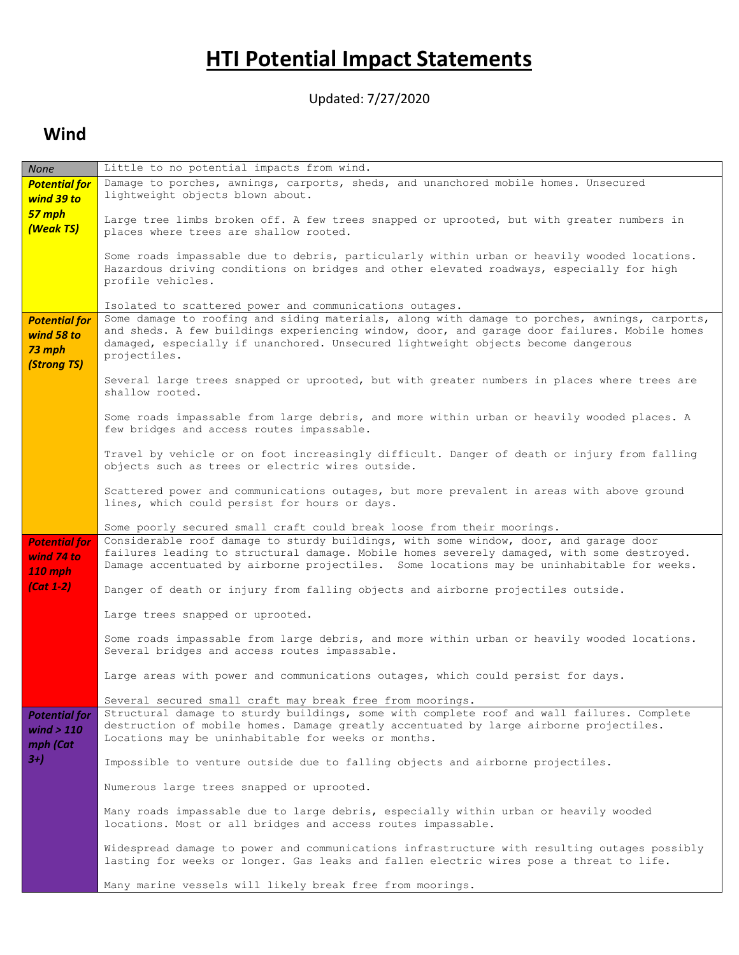# **HTI Potential Impact Statements**

Updated: 7/27/2020

#### **Wind**

| None                                                        | Little to no potential impacts from wind.                                                                                                                                                                                                                                                                                                                     |
|-------------------------------------------------------------|---------------------------------------------------------------------------------------------------------------------------------------------------------------------------------------------------------------------------------------------------------------------------------------------------------------------------------------------------------------|
| <b>Potential for</b><br>wind 39 to                          | Damage to porches, awnings, carports, sheds, and unanchored mobile homes. Unsecured<br>lightweight objects blown about.                                                                                                                                                                                                                                       |
| 57 mph<br>(Weak TS)                                         | Large tree limbs broken off. A few trees snapped or uprooted, but with greater numbers in<br>places where trees are shallow rooted.                                                                                                                                                                                                                           |
|                                                             | Some roads impassable due to debris, particularly within urban or heavily wooded locations.<br>Hazardous driving conditions on bridges and other elevated roadways, especially for high<br>profile vehicles.                                                                                                                                                  |
| <b>Potential for</b><br>wind 58 to<br>73 mph<br>(Strong TS) | Isolated to scattered power and communications outages.<br>Some damage to roofing and siding materials, along with damage to porches, awnings, carports,<br>and sheds. A few buildings experiencing window, door, and garage door failures. Mobile homes<br>damaged, especially if unanchored. Unsecured lightweight objects become dangerous<br>projectiles. |
|                                                             | Several large trees snapped or uprooted, but with greater numbers in places where trees are<br>shallow rooted.                                                                                                                                                                                                                                                |
|                                                             | Some roads impassable from large debris, and more within urban or heavily wooded places. A<br>few bridges and access routes impassable.                                                                                                                                                                                                                       |
|                                                             | Travel by vehicle or on foot increasingly difficult. Danger of death or injury from falling<br>objects such as trees or electric wires outside.                                                                                                                                                                                                               |
|                                                             | Scattered power and communications outages, but more prevalent in areas with above ground<br>lines, which could persist for hours or days.                                                                                                                                                                                                                    |
|                                                             | Some poorly secured small craft could break loose from their moorings.                                                                                                                                                                                                                                                                                        |
| <b>Potential for</b><br>wind 74 to<br>110 mph               | Considerable roof damage to sturdy buildings, with some window, door, and garage door<br>failures leading to structural damage. Mobile homes severely damaged, with some destroyed.<br>Damage accentuated by airborne projectiles. Some locations may be uninhabitable for weeks.                                                                             |
| $(Cat 1-2)$                                                 | Danger of death or injury from falling objects and airborne projectiles outside.                                                                                                                                                                                                                                                                              |
|                                                             | Large trees snapped or uprooted.                                                                                                                                                                                                                                                                                                                              |
|                                                             | Some roads impassable from large debris, and more within urban or heavily wooded locations.<br>Several bridges and access routes impassable.                                                                                                                                                                                                                  |
|                                                             | Large areas with power and communications outages, which could persist for days.                                                                                                                                                                                                                                                                              |
|                                                             | Several secured small craft may break free from moorings.                                                                                                                                                                                                                                                                                                     |
| <b>Potential for</b><br>wind $> 110$<br>mph (Cat            | Structural damage to sturdy buildings, some with complete roof and wall failures. Complete<br>destruction of mobile homes. Damage greatly accentuated by large airborne projectiles.<br>Locations may be uninhabitable for weeks or months.                                                                                                                   |
| $3+)$                                                       | Impossible to venture outside due to falling objects and airborne projectiles.                                                                                                                                                                                                                                                                                |
|                                                             | Numerous large trees snapped or uprooted.                                                                                                                                                                                                                                                                                                                     |
|                                                             | Many roads impassable due to large debris, especially within urban or heavily wooded<br>locations. Most or all bridges and access routes impassable.                                                                                                                                                                                                          |
|                                                             | Widespread damage to power and communications infrastructure with resulting outages possibly<br>lasting for weeks or longer. Gas leaks and fallen electric wires pose a threat to life.                                                                                                                                                                       |
|                                                             | Many marine vessels will likely break free from moorings.                                                                                                                                                                                                                                                                                                     |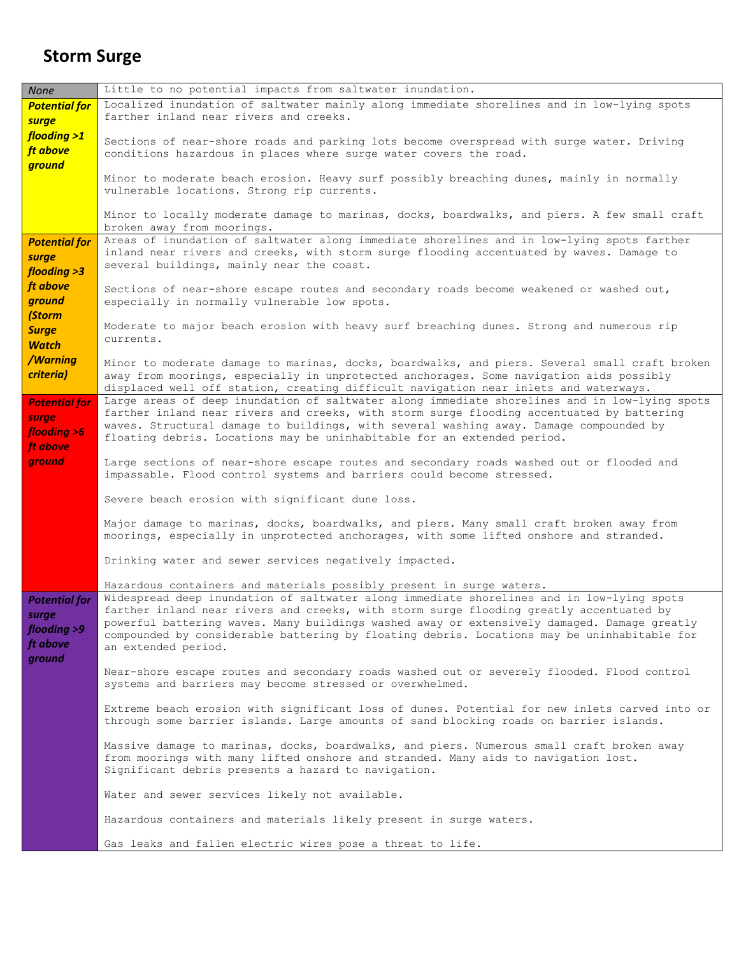### **Storm Surge**

| <b>None</b>                                                        | Little to no potential impacts from saltwater inundation.                                                                                                                                                                                                                                                                                                                                                 |
|--------------------------------------------------------------------|-----------------------------------------------------------------------------------------------------------------------------------------------------------------------------------------------------------------------------------------------------------------------------------------------------------------------------------------------------------------------------------------------------------|
| <b>Potential for</b><br>surge                                      | Localized inundation of saltwater mainly along immediate shorelines and in low-lying spots<br>farther inland near rivers and creeks.                                                                                                                                                                                                                                                                      |
| flooding >1<br>ft above<br>ground                                  | Sections of near-shore roads and parking lots become overspread with surge water. Driving<br>conditions hazardous in places where surge water covers the road.                                                                                                                                                                                                                                            |
|                                                                    | Minor to moderate beach erosion. Heavy surf possibly breaching dunes, mainly in normally<br>vulnerable locations. Strong rip currents.                                                                                                                                                                                                                                                                    |
|                                                                    | Minor to locally moderate damage to marinas, docks, boardwalks, and piers. A few small craft<br>broken away from moorings.                                                                                                                                                                                                                                                                                |
| <b>Potential for</b><br>surge<br>flooding >3                       | Areas of inundation of saltwater along immediate shorelines and in low-lying spots farther<br>inland near rivers and creeks, with storm surge flooding accentuated by waves. Damage to<br>several buildings, mainly near the coast.                                                                                                                                                                       |
| ft above<br>ground<br>(Storm                                       | Sections of near-shore escape routes and secondary roads become weakened or washed out,<br>especially in normally vulnerable low spots.                                                                                                                                                                                                                                                                   |
| <b>Surge</b><br><b>Watch</b>                                       | Moderate to major beach erosion with heavy surf breaching dunes. Strong and numerous rip<br>currents.                                                                                                                                                                                                                                                                                                     |
| /Warning<br>criteria)                                              | Minor to moderate damage to marinas, docks, boardwalks, and piers. Several small craft broken<br>away from moorings, especially in unprotected anchorages. Some navigation aids possibly<br>displaced well off station, creating difficult navigation near inlets and waterways.                                                                                                                          |
| <b>Potential for</b><br>surge<br>flooding >6<br>ft above           | Large areas of deep inundation of saltwater along immediate shorelines and in low-lying spots<br>farther inland near rivers and creeks, with storm surge flooding accentuated by battering<br>waves. Structural damage to buildings, with several washing away. Damage compounded by<br>floating debris. Locations may be uninhabitable for an extended period.                                           |
| ground                                                             | Large sections of near-shore escape routes and secondary roads washed out or flooded and<br>impassable. Flood control systems and barriers could become stressed.                                                                                                                                                                                                                                         |
|                                                                    | Severe beach erosion with significant dune loss.                                                                                                                                                                                                                                                                                                                                                          |
|                                                                    | Major damage to marinas, docks, boardwalks, and piers. Many small craft broken away from<br>moorings, especially in unprotected anchorages, with some lifted onshore and stranded.                                                                                                                                                                                                                        |
|                                                                    | Drinking water and sewer services negatively impacted.                                                                                                                                                                                                                                                                                                                                                    |
|                                                                    | Hazardous containers and materials possibly present in surge waters.                                                                                                                                                                                                                                                                                                                                      |
| <b>Potential for</b><br>surge<br>flooding >9<br>ft above<br>ground | Widespread deep inundation of saltwater along immediate shorelines and in low-lying spots<br>farther inland near rivers and creeks, with storm surge flooding greatly accentuated by<br>powerful battering waves. Many buildings washed away or extensively damaged. Damage greatly<br>compounded by considerable battering by floating debris. Locations may be uninhabitable for<br>an extended period. |
|                                                                    | Near-shore escape routes and secondary roads washed out or severely flooded. Flood control<br>systems and barriers may become stressed or overwhelmed.                                                                                                                                                                                                                                                    |
|                                                                    | Extreme beach erosion with significant loss of dunes. Potential for new inlets carved into or<br>through some barrier islands. Large amounts of sand blocking roads on barrier islands.                                                                                                                                                                                                                   |
|                                                                    | Massive damage to marinas, docks, boardwalks, and piers. Numerous small craft broken away<br>from moorings with many lifted onshore and stranded. Many aids to navigation lost.<br>Significant debris presents a hazard to navigation.                                                                                                                                                                    |
|                                                                    | Water and sewer services likely not available.                                                                                                                                                                                                                                                                                                                                                            |
|                                                                    | Hazardous containers and materials likely present in surge waters.                                                                                                                                                                                                                                                                                                                                        |
|                                                                    | Gas leaks and fallen electric wires pose a threat to life.                                                                                                                                                                                                                                                                                                                                                |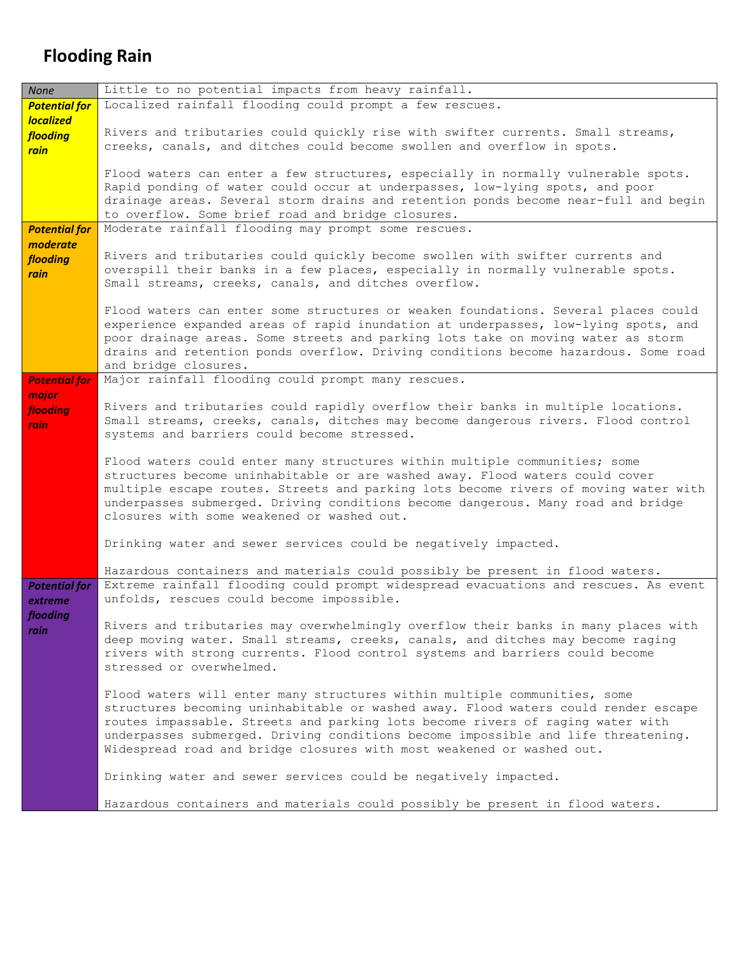## **Flooding Rain**

| <b>None</b>          | Little to no potential impacts from heavy rainfall.                                                                                                                 |
|----------------------|---------------------------------------------------------------------------------------------------------------------------------------------------------------------|
| <b>Potential for</b> | Localized rainfall flooding could prompt a few rescues.                                                                                                             |
| <b>localized</b>     |                                                                                                                                                                     |
| flooding             | Rivers and tributaries could quickly rise with swifter currents. Small streams,                                                                                     |
| rain                 | creeks, canals, and ditches could become swollen and overflow in spots.                                                                                             |
|                      |                                                                                                                                                                     |
|                      | Flood waters can enter a few structures, especially in normally vulnerable spots.                                                                                   |
|                      | Rapid ponding of water could occur at underpasses, low-lying spots, and poor<br>drainage areas. Several storm drains and retention ponds become near-full and begin |
|                      | to overflow. Some brief road and bridge closures.                                                                                                                   |
| <b>Potential for</b> | Moderate rainfall flooding may prompt some rescues.                                                                                                                 |
| moderate             |                                                                                                                                                                     |
| flooding             | Rivers and tributaries could quickly become swollen with swifter currents and                                                                                       |
| rain                 | overspill their banks in a few places, especially in normally vulnerable spots.                                                                                     |
|                      | Small streams, creeks, canals, and ditches overflow.                                                                                                                |
|                      |                                                                                                                                                                     |
|                      | Flood waters can enter some structures or weaken foundations. Several places could                                                                                  |
|                      | experience expanded areas of rapid inundation at underpasses, low-lying spots, and                                                                                  |
|                      | poor drainage areas. Some streets and parking lots take on moving water as storm                                                                                    |
|                      | drains and retention ponds overflow. Driving conditions become hazardous. Some road                                                                                 |
| <b>Potential for</b> | and bridge closures.<br>Major rainfall flooding could prompt many rescues.                                                                                          |
|                      |                                                                                                                                                                     |
| major<br>flooding    | Rivers and tributaries could rapidly overflow their banks in multiple locations.                                                                                    |
| <i>rain</i>          | Small streams, creeks, canals, ditches may become dangerous rivers. Flood control                                                                                   |
|                      | systems and barriers could become stressed.                                                                                                                         |
|                      |                                                                                                                                                                     |
|                      | Flood waters could enter many structures within multiple communities; some                                                                                          |
|                      | structures become uninhabitable or are washed away. Flood waters could cover                                                                                        |
|                      | multiple escape routes. Streets and parking lots become rivers of moving water with                                                                                 |
|                      | underpasses submerged. Driving conditions become dangerous. Many road and bridge<br>closures with some weakened or washed out.                                      |
|                      |                                                                                                                                                                     |
|                      | Drinking water and sewer services could be negatively impacted.                                                                                                     |
|                      |                                                                                                                                                                     |
|                      | Hazardous containers and materials could possibly be present in flood waters.                                                                                       |
| <b>Potential for</b> | Extreme rainfall flooding could prompt widespread evacuations and rescues. As event                                                                                 |
| extreme              | unfolds, rescues could become impossible.                                                                                                                           |
| flooding             |                                                                                                                                                                     |
| rain                 | Rivers and tributaries may overwhelmingly overflow their banks in many places with                                                                                  |
|                      | deep moving water. Small streams, creeks, canals, and ditches may become raging                                                                                     |
|                      | rivers with strong currents. Flood control systems and barriers could become<br>stressed or overwhelmed.                                                            |
|                      |                                                                                                                                                                     |
|                      | Flood waters will enter many structures within multiple communities, some                                                                                           |
|                      | structures becoming uninhabitable or washed away. Flood waters could render escape                                                                                  |
|                      | routes impassable. Streets and parking lots become rivers of raging water with                                                                                      |
|                      | underpasses submerged. Driving conditions become impossible and life threatening.                                                                                   |
|                      | Widespread road and bridge closures with most weakened or washed out.                                                                                               |
|                      |                                                                                                                                                                     |
|                      | Drinking water and sewer services could be negatively impacted.                                                                                                     |
|                      | Hazardous containers and materials could possibly be present in flood waters.                                                                                       |
|                      |                                                                                                                                                                     |